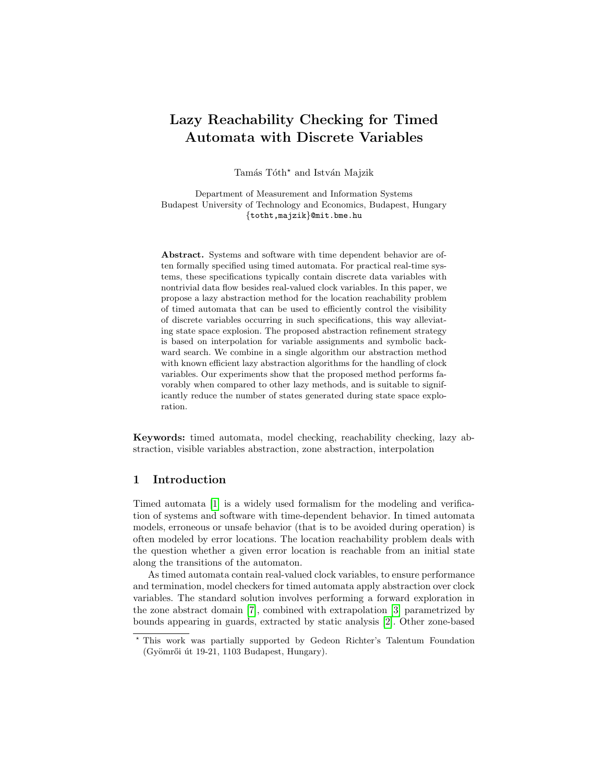# Lazy Reachability Checking for Timed Automata with Discrete Variables

Tamás Tóth<sup>\*</sup> and István Majzik

Department of Measurement and Information Systems Budapest University of Technology and Economics, Budapest, Hungary {totht,majzik}@mit.bme.hu

Abstract. Systems and software with time dependent behavior are often formally specified using timed automata. For practical real-time systems, these specifications typically contain discrete data variables with nontrivial data flow besides real-valued clock variables. In this paper, we propose a lazy abstraction method for the location reachability problem of timed automata that can be used to efficiently control the visibility of discrete variables occurring in such specifications, this way alleviating state space explosion. The proposed abstraction refinement strategy is based on interpolation for variable assignments and symbolic backward search. We combine in a single algorithm our abstraction method with known efficient lazy abstraction algorithms for the handling of clock variables. Our experiments show that the proposed method performs favorably when compared to other lazy methods, and is suitable to significantly reduce the number of states generated during state space exploration.

Keywords: timed automata, model checking, reachability checking, lazy abstraction, visible variables abstraction, zone abstraction, interpolation

# 1 Introduction

Timed automata [\[1\]](#page-15-0) is a widely used formalism for the modeling and verification of systems and software with time-dependent behavior. In timed automata models, erroneous or unsafe behavior (that is to be avoided during operation) is often modeled by error locations. The location reachability problem deals with the question whether a given error location is reachable from an initial state along the transitions of the automaton.

As timed automata contain real-valued clock variables, to ensure performance and termination, model checkers for timed automata apply abstraction over clock variables. The standard solution involves performing a forward exploration in the zone abstract domain [\[7\]](#page-16-0), combined with extrapolation [\[3\]](#page-16-1) parametrized by bounds appearing in guards, extracted by static analysis [\[2\]](#page-15-1). Other zone-based

<sup>?</sup> This work was partially supported by Gedeon Richter's Talentum Foundation  $(Gyömr"oi$  út 19-21, 1103 Budapest, Hungary).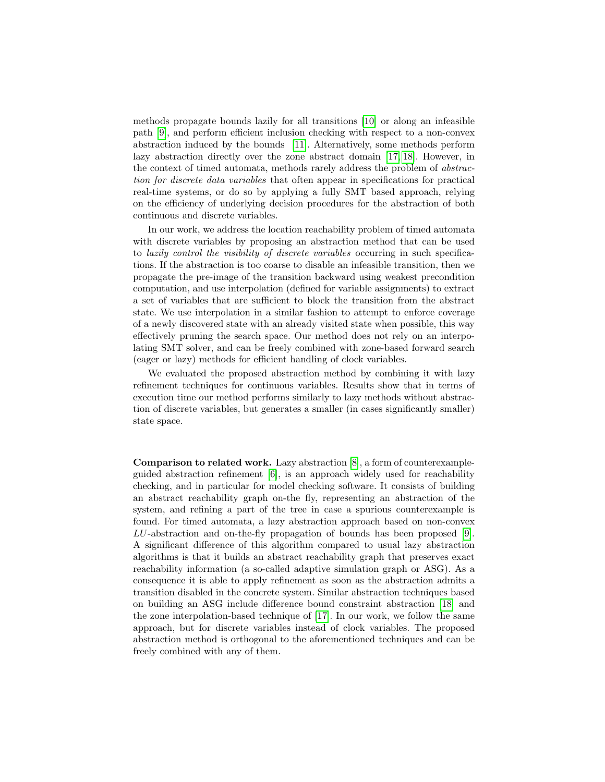methods propagate bounds lazily for all transitions [\[10\]](#page-16-2) or along an infeasible path [\[9\]](#page-16-3), and perform efficient inclusion checking with respect to a non-convex abstraction induced by the bounds [\[11\]](#page-16-4). Alternatively, some methods perform lazy abstraction directly over the zone abstract domain [\[17,](#page-16-5) [18\]](#page-16-6). However, in the context of timed automata, methods rarely address the problem of abstraction for discrete data variables that often appear in specifications for practical real-time systems, or do so by applying a fully SMT based approach, relying on the efficiency of underlying decision procedures for the abstraction of both continuous and discrete variables.

In our work, we address the location reachability problem of timed automata with discrete variables by proposing an abstraction method that can be used to lazily control the visibility of discrete variables occurring in such specifications. If the abstraction is too coarse to disable an infeasible transition, then we propagate the pre-image of the transition backward using weakest precondition computation, and use interpolation (defined for variable assignments) to extract a set of variables that are sufficient to block the transition from the abstract state. We use interpolation in a similar fashion to attempt to enforce coverage of a newly discovered state with an already visited state when possible, this way effectively pruning the search space. Our method does not rely on an interpolating SMT solver, and can be freely combined with zone-based forward search (eager or lazy) methods for efficient handling of clock variables.

We evaluated the proposed abstraction method by combining it with lazy refinement techniques for continuous variables. Results show that in terms of execution time our method performs similarly to lazy methods without abstraction of discrete variables, but generates a smaller (in cases significantly smaller) state space.

Comparison to related work. Lazy abstraction [\[8\]](#page-16-7), a form of counterexampleguided abstraction refinement [\[6\]](#page-16-8), is an approach widely used for reachability checking, and in particular for model checking software. It consists of building an abstract reachability graph on-the fly, representing an abstraction of the system, and refining a part of the tree in case a spurious counterexample is found. For timed automata, a lazy abstraction approach based on non-convex LU-abstraction and on-the-fly propagation of bounds has been proposed [\[9\]](#page-16-3). A significant difference of this algorithm compared to usual lazy abstraction algorithms is that it builds an abstract reachability graph that preserves exact reachability information (a so-called adaptive simulation graph or ASG). As a consequence it is able to apply refinement as soon as the abstraction admits a transition disabled in the concrete system. Similar abstraction techniques based on building an ASG include difference bound constraint abstraction [\[18\]](#page-16-6) and the zone interpolation-based technique of [\[17\]](#page-16-5). In our work, we follow the same approach, but for discrete variables instead of clock variables. The proposed abstraction method is orthogonal to the aforementioned techniques and can be freely combined with any of them.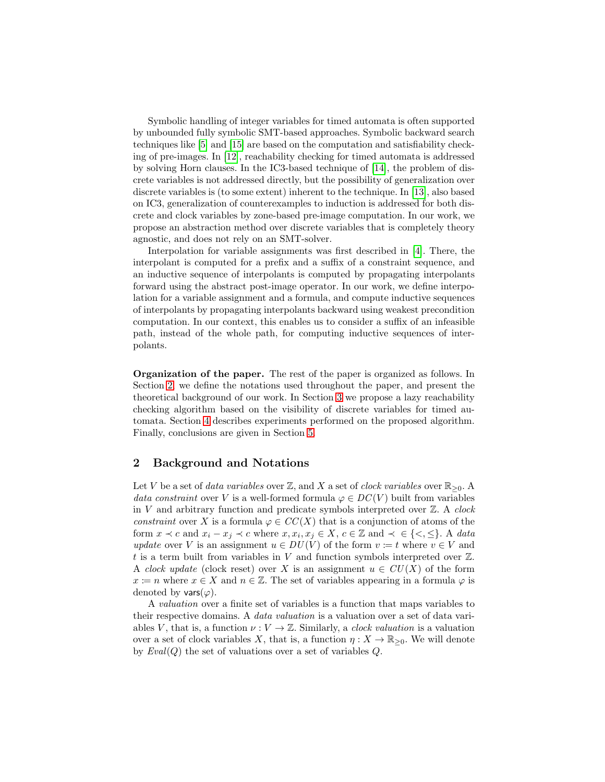Symbolic handling of integer variables for timed automata is often supported by unbounded fully symbolic SMT-based approaches. Symbolic backward search techniques like [\[5\]](#page-16-9) and [\[15\]](#page-16-10) are based on the computation and satisfiability checking of pre-images. In [\[12\]](#page-16-11), reachability checking for timed automata is addressed by solving Horn clauses. In the IC3-based technique of [\[14\]](#page-16-12), the problem of discrete variables is not addressed directly, but the possibility of generalization over discrete variables is (to some extent) inherent to the technique. In [\[13\]](#page-16-13), also based on IC3, generalization of counterexamples to induction is addressed for both discrete and clock variables by zone-based pre-image computation. In our work, we propose an abstraction method over discrete variables that is completely theory agnostic, and does not rely on an SMT-solver.

Interpolation for variable assignments was first described in [\[4\]](#page-16-14). There, the interpolant is computed for a prefix and a suffix of a constraint sequence, and an inductive sequence of interpolants is computed by propagating interpolants forward using the abstract post-image operator. In our work, we define interpolation for a variable assignment and a formula, and compute inductive sequences of interpolants by propagating interpolants backward using weakest precondition computation. In our context, this enables us to consider a suffix of an infeasible path, instead of the whole path, for computing inductive sequences of interpolants.

Organization of the paper. The rest of the paper is organized as follows. In Section [2,](#page-2-0) we define the notations used throughout the paper, and present the theoretical background of our work. In Section [3](#page-5-0) we propose a lazy reachability checking algorithm based on the visibility of discrete variables for timed automata. Section [4](#page-11-0) describes experiments performed on the proposed algorithm. Finally, conclusions are given in Section [5.](#page-15-2)

### <span id="page-2-0"></span>2 Background and Notations

Let V be a set of data variables over  $\mathbb{Z}$ , and X a set of clock variables over  $\mathbb{R}_{>0}$ . data constraint over V is a well-formed formula  $\varphi \in DC(V)$  built from variables in  $V$  and arbitrary function and predicate symbols interpreted over  $\mathbb{Z}$ . A clock constraint over X is a formula  $\varphi \in CC(X)$  that is a conjunction of atoms of the form  $x \prec c$  and  $x_i - x_j \prec c$  where  $x, x_i, x_j \in X$ ,  $c \in \mathbb{Z}$  and  $\prec \in \{\leq, \leq\}$ . A data update over V is an assignment  $u \in DU(V)$  of the form  $v \coloneqq t$  where  $v \in V$  and t is a term built from variables in V and function symbols interpreted over  $\mathbb{Z}$ . A clock update (clock reset) over X is an assignment  $u \in CU(X)$  of the form  $x \coloneqq n$  where  $x \in X$  and  $n \in \mathbb{Z}$ . The set of variables appearing in a formula  $\varphi$  is denoted by vars $(\varphi)$ .

A valuation over a finite set of variables is a function that maps variables to their respective domains. A data valuation is a valuation over a set of data variables V, that is, a function  $\nu: V \to \mathbb{Z}$ . Similarly, a *clock valuation* is a valuation over a set of clock variables X, that is, a function  $\eta: X \to \mathbb{R}_{\geq 0}$ . We will denote by  $Eval(Q)$  the set of valuations over a set of variables  $Q$ .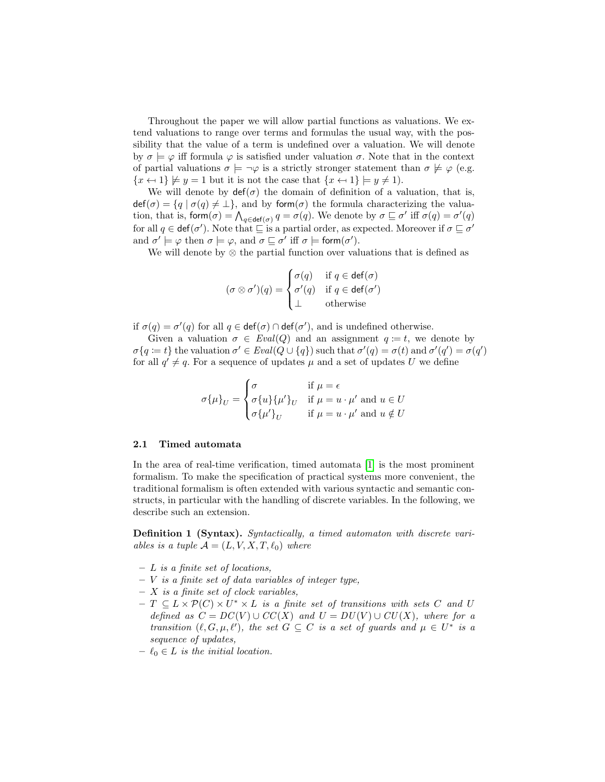Throughout the paper we will allow partial functions as valuations. We extend valuations to range over terms and formulas the usual way, with the possibility that the value of a term is undefined over a valuation. We will denote by  $\sigma \models \varphi$  iff formula  $\varphi$  is satisfied under valuation  $\sigma$ . Note that in the context of partial valuations  $\sigma \models \neg \varphi$  is a strictly stronger statement than  $\sigma \not\models \varphi$  (e.g.  ${x \leftrightarrow 1} \not\models y = 1$  but it is not the case that  ${x \leftrightarrow 1} \models y \neq 1$ .

We will denote by  $\det(\sigma)$  the domain of definition of a valuation, that is,  $\det(\sigma) = \{q \mid \sigma(q) \neq \perp\},\$ and by form $(\sigma)$  the formula characterizing the valuation, that is, form $(\sigma) = \bigwedge_{q \in \text{def}(\sigma)} q = \sigma(q)$ . We denote by  $\sigma \sqsubseteq \sigma'$  iff  $\sigma(q) = \sigma'(q)$ for all  $q \in \text{def}(\sigma')$ . Note that  $\sqsubseteq$  is a partial order, as expected. Moreover if  $\sigma \sqsubseteq \sigma'$ and  $\sigma' \models \varphi$  then  $\sigma \models \varphi$ , and  $\sigma \sqsubseteq \sigma'$  iff  $\sigma \models \mathsf{form}(\sigma')$ .

We will denote by  $\otimes$  the partial function over valuations that is defined as

$$
(\sigma \otimes \sigma')(q) = \begin{cases} \sigma(q) & \text{if } q \in \text{def}(\sigma) \\ \sigma'(q) & \text{if } q \in \text{def}(\sigma') \\ \perp & \text{otherwise} \end{cases}
$$

if  $\sigma(q) = \sigma'(q)$  for all  $q \in \text{def}(\sigma) \cap \text{def}(\sigma')$ , and is undefined otherwise.

Given a valuation  $\sigma \in \text{Eval}(Q)$  and an assignment  $q := t$ , we denote by  $\sigma\{q := t\}$  the valuation  $\sigma' \in \text{Eval}(Q \cup \{q\})$  such that  $\sigma'(q) = \sigma(t)$  and  $\sigma'(q') = \sigma(q')$ for all  $q' \neq q$ . For a sequence of updates  $\mu$  and a set of updates U we define

$$
\sigma\{\mu\}_U = \begin{cases}\n\sigma & \text{if } \mu = \epsilon \\
\sigma\{u\}\{\mu'\}_U & \text{if } \mu = u \cdot \mu' \text{ and } u \in U \\
\sigma\{\mu'\}_U & \text{if } \mu = u \cdot \mu' \text{ and } u \notin U\n\end{cases}
$$

### 2.1 Timed automata

In the area of real-time verification, timed automata [\[1\]](#page-15-0) is the most prominent formalism. To make the specification of practical systems more convenient, the traditional formalism is often extended with various syntactic and semantic constructs, in particular with the handling of discrete variables. In the following, we describe such an extension.

Definition 1 (Syntax). Syntactically, a timed automaton with discrete variables is a tuple  $\mathcal{A} = (L, V, X, T, \ell_0)$  where

- $L$  is a finite set of locations,
- $V$  is a finite set of data variables of integer type,
- $X$  is a finite set of clock variables,
- $T \subseteq L \times \mathcal{P}(C) \times U^* \times L$  is a finite set of transitions with sets C and U defined as  $C = DC(V) \cup CC(X)$  and  $U = DU(V) \cup CU(X)$ , where for a transition  $(\ell, G, \mu, \ell')$ , the set  $G \subseteq C$  is a set of guards and  $\mu \in U^*$  is a sequence of updates,
- $\ell_0 \in L$  is the initial location.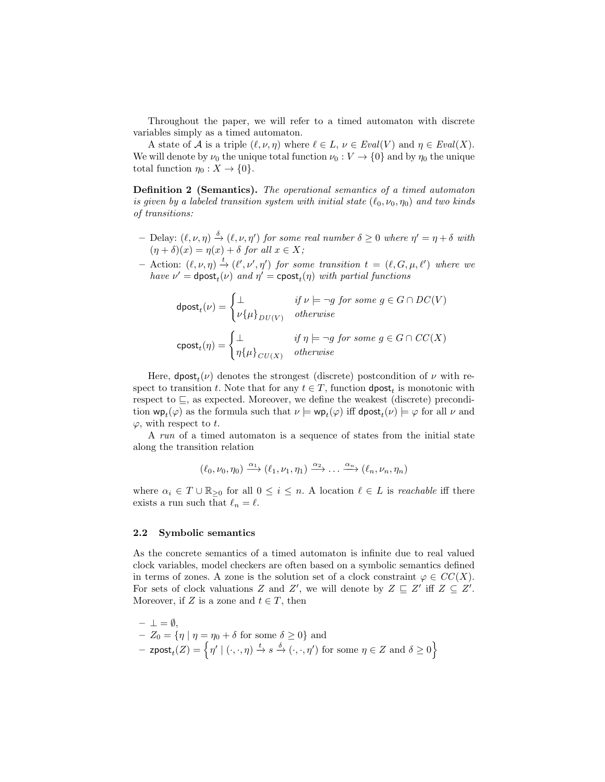Throughout the paper, we will refer to a timed automaton with discrete variables simply as a timed automaton.

A state of A is a triple  $(\ell, \nu, \eta)$  where  $\ell \in L$ ,  $\nu \in \text{Eval}(V)$  and  $\eta \in \text{Eval}(X)$ . We will denote by  $\nu_0$  the unique total function  $\nu_0 : V \to \{0\}$  and by  $\eta_0$  the unique total function  $\eta_0 : X \to \{0\}.$ 

Definition 2 (Semantics). The operational semantics of a timed automaton is given by a labeled transition system with initial state  $(\ell_0, \nu_0, \eta_0)$  and two kinds of transitions:

- $-$  Delay:  $(\ell, \nu, \eta) \stackrel{\delta}{\rightarrow} (\ell, \nu, \eta')$  for some real number  $\delta \geq 0$  where  $\eta' = \eta + \delta$  with  $(\eta + \delta)(x) = \eta(x) + \delta$  for all  $x \in X$ ;
- $-$  Action:  $(ℓ, ν, η)$   $\stackrel{t}{\rightarrow}$   $(ℓ', ν', η')$  for some transition  $t = (ℓ, G, μ, ℓ')$  where we have  $\nu' = \text{dpost}_t(\nu)$  and  $\eta' = \text{cpost}_t(\eta)$  with partial functions

$$
\text{dpost}_{t}(\nu) = \begin{cases} \bot & \text{if } \nu \models \neg g \text{ for some } g \in G \cap DC(V) \\ \nu \{\mu\}_{DU(V)} & \text{otherwise} \end{cases}
$$

$$
\text{cpost}_{t}(\eta) = \begin{cases} \bot & \text{if } \eta \models \neg g \text{ for some } g \in G \cap CC(X) \\ \eta \{\mu\}_{CU(X)} & \text{otherwise} \end{cases}
$$

Here,  $\text{dpost}_t(\nu)$  denotes the strongest (discrete) postcondition of  $\nu$  with respect to transition t. Note that for any  $t \in T$ , function  $\text{dpost}_t$  is monotonic with respect to  $\sqsubseteq$ , as expected. Moreover, we define the weakest (discrete) precondition  $wp_t(\varphi)$  as the formula such that  $\nu \models wp_t(\varphi)$  iff  $\text{dpost}_t(\nu) \models \varphi$  for all  $\nu$  and  $\varphi$ , with respect to t.

A run of a timed automaton is a sequence of states from the initial state along the transition relation

$$
(\ell_0,\nu_0,\eta_0)\xrightarrow{\alpha_1}(\ell_1,\nu_1,\eta_1)\xrightarrow{\alpha_2}\dots\xrightarrow{\alpha_n}(\ell_n,\nu_n,\eta_n)
$$

where  $\alpha_i \in T \cup \mathbb{R}_{\geq 0}$  for all  $0 \leq i \leq n$ . A location  $\ell \in L$  is reachable iff there exists a run such that  $\ell_n = \ell$ .

### 2.2 Symbolic semantics

As the concrete semantics of a timed automaton is infinite due to real valued clock variables, model checkers are often based on a symbolic semantics defined in terms of zones. A zone is the solution set of a clock constraint  $\varphi \in CC(X)$ . For sets of clock valuations Z and Z', we will denote by  $Z \subseteq Z'$  iff  $Z \subseteq Z'$ . Moreover, if Z is a zone and  $t \in T$ , then

$$
- \perp = \emptyset,
$$
  
\n
$$
- Z_0 = \{ \eta \mid \eta = \eta_0 + \delta \text{ for some } \delta \ge 0 \} \text{ and}
$$
  
\n
$$
- z \text{post}_t(Z) = \left\{ \eta' \mid (\cdot, \cdot, \eta) \stackrel{t}{\to} s \stackrel{\delta}{\to} (\cdot, \cdot, \eta') \text{ for some } \eta \in Z \text{ and } \delta \ge 0 \right\}
$$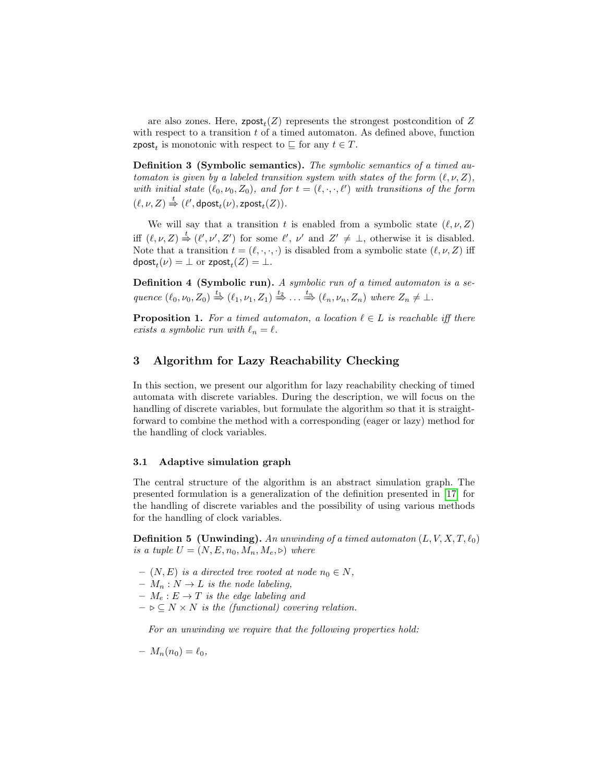are also zones. Here,  $\mathsf{zpost}_t(Z)$  represents the strongest postcondition of Z with respect to a transition  $t$  of a timed automaton. As defined above, function **zpost**<sub>t</sub> is monotonic with respect to  $\subseteq$  for any  $t \in T$ .

Definition 3 (Symbolic semantics). The symbolic semantics of a timed automaton is given by a labeled transition system with states of the form  $(\ell, \nu, Z)$ , with initial state  $(\ell_0, \nu_0, Z_0)$ , and for  $t = (\ell, \cdot, \cdot, \ell')$  with transitions of the form  $(\ell, \nu, Z) \stackrel{t}{\Rightarrow} (\ell', \mathsf{dpost}_t(\nu), \mathsf{zpost}_t(Z)).$ 

We will say that a transition t is enabled from a symbolic state  $(\ell, \nu, Z)$ iff  $(\ell, \nu, Z) \stackrel{t}{\Rightarrow} (\ell', \nu', Z')$  for some  $\ell', \nu'$  and  $Z' \neq \bot$ , otherwise it is disabled. Note that a transition  $t = (\ell, \cdot, \cdot, \cdot)$  is disabled from a symbolic state  $(\ell, \nu, Z)$  iff dpost $_t(\nu) = \bot$  or zpost $_t(Z) = \bot$ .

Definition 4 (Symbolic run). A symbolic run of a timed automaton is a sequence  $(\ell_0, \nu_0, Z_0) \stackrel{t_1}{\Rightarrow} (\ell_1, \nu_1, Z_1) \stackrel{t_2}{\Rightarrow} \dots \stackrel{t_n}{\Rightarrow} (\ell_n, \nu_n, Z_n)$  where  $Z_n \neq \bot$ .

**Proposition 1.** For a timed automaton, a location  $\ell \in L$  is reachable iff there exists a symbolic run with  $\ell_n = \ell$ .

## <span id="page-5-0"></span>3 Algorithm for Lazy Reachability Checking

In this section, we present our algorithm for lazy reachability checking of timed automata with discrete variables. During the description, we will focus on the handling of discrete variables, but formulate the algorithm so that it is straightforward to combine the method with a corresponding (eager or lazy) method for the handling of clock variables.

### 3.1 Adaptive simulation graph

The central structure of the algorithm is an abstract simulation graph. The presented formulation is a generalization of the definition presented in [\[17\]](#page-16-5) for the handling of discrete variables and the possibility of using various methods for the handling of clock variables.

**Definition 5 (Unwinding).** An unwinding of a timed automaton  $(L, V, X, T, l_0)$ is a tuple  $U = (N, E, n_0, M_n, M_e, \triangleright)$  where

- $(N, E)$  is a directed tree rooted at node  $n_0 \in N$ ,
- $M_n : N \to L$  is the node labeling,
- $M_e : E \to T$  is the edge labeling and
- $\triangleright \subseteq N \times N$  is the (functional) covering relation.

For an unwinding we require that the following properties hold:

$$
-M_n(n_0)=\ell_0,
$$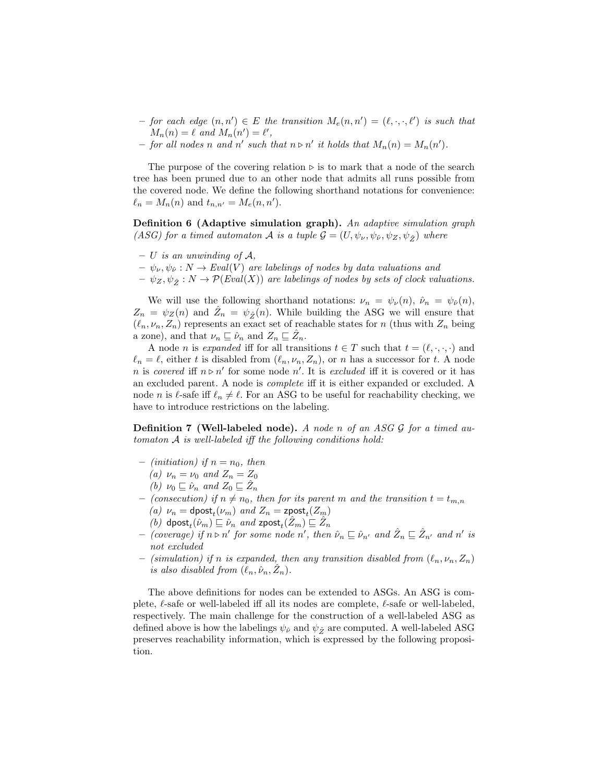- $-$  for each edge  $(n, n') \in E$  the transition  $M_e(n, n') = (\ell, \cdot, \cdot, \ell')$  is such that  $M_n(n) = \ell$  and  $M_n(n') = \ell'$ ,
- for all nodes n and n' such that  $n \triangleright n'$  it holds that  $M_n(n) = M_n(n').$

The purpose of the covering relation  $\triangleright$  is to mark that a node of the search tree has been pruned due to an other node that admits all runs possible from the covered node. We define the following shorthand notations for convenience:  $\ell_n = M_n(n)$  and  $t_{n,n'} = M_e(n, n').$ 

Definition 6 (Adaptive simulation graph). An adaptive simulation graph (ASG) for a timed automaton A is a tuple  $\mathcal{G} = (U, \psi_{\nu}, \psi_{\hat{\nu}}, \psi_Z, \psi_{\hat{\tau}})$  where

- $U$  is an unwinding of  $A$ .
- $\psi_{\nu}, \psi_{\hat{\nu}} : N \to \text{Eval}(V)$  are labelings of nodes by data valuations and
- $-\psi_Z, \psi_{\hat{Z}} : N \to \mathcal{P}(Eval(X))$  are labelings of nodes by sets of clock valuations.

We will use the following shorthand notations:  $\nu_n = \psi_\nu(n)$ ,  $\hat{\nu}_n = \psi_{\hat{\nu}}(n)$ ,  $Z_n = \psi_Z(n)$  and  $\hat{Z}_n = \psi_{\hat{Z}}(n)$ . While building the ASG we will ensure that  $(\ell_n, \nu_n, Z_n)$  represents an exact set of reachable states for n (thus with  $Z_n$  being a zone), and that  $\nu_n \sqsubseteq \hat{\nu}_n$  and  $Z_n \sqsubseteq \hat{Z}_n$ .

A node *n* is *expanded* iff for all transitions  $t \in T$  such that  $t = (\ell, \cdot, \cdot, \cdot)$  and  $\ell_n = \ell$ , either t is disabled from  $(\ell_n, \nu_n, Z_n)$ , or n has a successor for t. A node n is covered iff  $n \triangleright n'$  for some node n'. It is excluded iff it is covered or it has an excluded parent. A node is complete iff it is either expanded or excluded. A node *n* is  $\ell$ -safe iff  $\ell_n \neq \ell$ . For an ASG to be useful for reachability checking, we have to introduce restrictions on the labeling.

**Definition 7 (Well-labeled node).** A node n of an ASG  $\mathcal{G}$  for a timed automaton A is well-labeled iff the following conditions hold:

- (initiation) if  $n = n_0$ , then
	- (a)  $\nu_n = \nu_0$  and  $Z_n = Z_0$
	- (b)  $\nu_0 \sqsubseteq \hat{\nu}_n$  and  $Z_0 \sqsubseteq \hat{Z}_n$
- (consecution) if  $n \neq n_0$ , then for its parent m and the transition  $t = t_{m,n}$ (a)  $\nu_n = \text{dpost}_t(\nu_m)$  and  $Z_n = \text{zpost}_t(Z_m)$ 
	- (b) dpost<sub>t</sub> $(\hat{\nu}_m) \sqsubseteq \hat{\nu}_n$  and zpost<sub>t</sub> $(\hat{Z}_m) \sqsubseteq \hat{Z}_n$
- $-$  (coverage) if  $n \triangleright n'$  for some node n', then  $\hat{\nu}_n \sqsubseteq \hat{\nu}_{n'}$  and  $\hat{Z}_n \sqsubseteq \hat{Z}_{n'}$  and n' is not excluded
- (simulation) if n is expanded, then any transition disabled from  $(\ell_n, \nu_n, Z_n)$ is also disabled from  $(\ell_n, \hat{\nu}_n, \hat{Z}_n)$ .

The above definitions for nodes can be extended to ASGs. An ASG is complete,  $\ell$ -safe or well-labeled iff all its nodes are complete,  $\ell$ -safe or well-labeled. respectively. The main challenge for the construction of a well-labeled ASG as defined above is how the labelings  $\psi_{\hat{\nu}}$  and  $\psi_{\hat{\mathcal{Z}}}$  are computed. A well-labeled ASG preserves reachability information, which is expressed by the following proposition.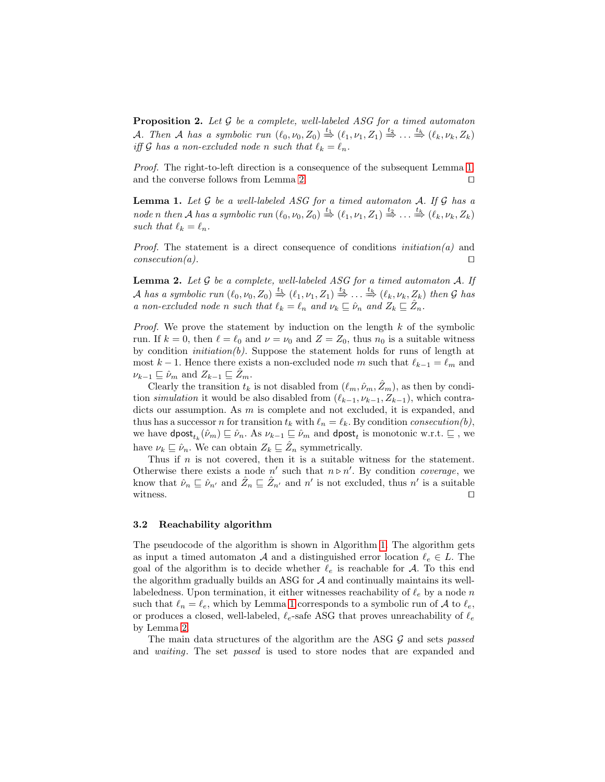**Proposition 2.** Let  $\mathcal G$  be a complete, well-labeled ASG for a timed automaton A. Then A has a symbolic run  $(\ell_0, \nu_0, Z_0) \stackrel{t_1}{\Rightarrow} (\ell_1, \nu_1, Z_1) \stackrel{t_2}{\Rightarrow} \dots \stackrel{t_k}{\Rightarrow} (\ell_k, \nu_k, Z_k)$ iff G has a non-excluded node n such that  $\ell_k = \ell_n$ .

Proof. The right-to-left direction is a consequence of the subsequent Lemma [1.](#page-7-0) and the converse follows from Lemma [2.](#page-7-1)  $\Box$ 

<span id="page-7-0"></span>**Lemma 1.** Let  $\mathcal G$  be a well-labeled ASG for a timed automaton  $\mathcal A$ . If  $\mathcal G$  has a node n then A has a symbolic run  $(\ell_0, \nu_0, Z_0) \stackrel{t_1}{\Rightarrow} (\ell_1, \nu_1, Z_1) \stackrel{t_2}{\Rightarrow} \ldots \stackrel{t_k}{\Rightarrow} (\ell_k, \nu_k, Z_k)$ such that  $\ell_k = \ell_n$ .

*Proof.* The statement is a direct consequence of conditions  $initial$  and  $\Box$  consecution(a).

<span id="page-7-1"></span>**Lemma 2.** Let  $\mathcal G$  be a complete, well-labeled ASG for a timed automaton  $\mathcal A$ . If A has a symbolic run  $(\ell_0, \nu_0, Z_0) \stackrel{t_1}{\Rightarrow} (\ell_1, \nu_1, Z_1) \stackrel{t_2}{\Rightarrow} \ldots \stackrel{t_k}{\Rightarrow} (\ell_k, \nu_k, Z_k)$  then G has a non-excluded node n such that  $\ell_k = \ell_n$  and  $\nu_k \sqsubseteq \hat{\nu}_n$  and  $Z_k \sqsubseteq \hat{Z}_n$ .

*Proof.* We prove the statement by induction on the length  $k$  of the symbolic run. If  $k = 0$ , then  $\ell = \ell_0$  and  $\nu = \nu_0$  and  $Z = Z_0$ , thus  $n_0$  is a suitable witness by condition *initiation(b)*. Suppose the statement holds for runs of length at most  $k - 1$ . Hence there exists a non-excluded node m such that  $\ell_{k-1} = \ell_m$  and  $\nu_{k-1} \sqsubseteq \hat{\nu}_m$  and  $Z_{k-1} \sqsubseteq \overline{Z}_m$ .

Clearly the transition  $t_k$  is not disabled from  $(\ell_m, \hat{\nu}_m, \hat{Z}_m)$ , as then by condition simulation it would be also disabled from  $(\ell_{k-1}, \nu_{k-1}, Z_{k-1})$ , which contradicts our assumption. As m is complete and not excluded, it is expanded, and thus has a successor *n* for transition  $t_k$  with  $\ell_n = \ell_k$ . By condition consecution(b), we have  $\textsf{dpost}_{t_k}(\hat{\nu}_m) \sqsubseteq \hat{\nu}_n$ . As  $\nu_{k-1} \sqsubseteq \hat{\nu}_m$  and  $\textsf{dpost}_t$  is monotonic w.r.t.  $\sqsubseteq$ , we have  $\nu_k \sqsubseteq \hat{\nu}_n$ . We can obtain  $Z_k \sqsubseteq \hat{Z}_n$  symmetrically.

Thus if  $n$  is not covered, then it is a suitable witness for the statement. Otherwise there exists a node  $n'$  such that  $n \triangleright n'$ . By condition *coverage*, we know that  $\hat{\nu}_n \subseteq \hat{\nu}_{n'}$  and  $\hat{Z}_n \subseteq \hat{Z}_{n'}$  and  $n'$  is not excluded, thus  $n'$  is a suitable witness.  $\Box$ 

#### 3.2 Reachability algorithm

The pseudocode of the algorithm is shown in Algorithm [1.](#page-8-0) The algorithm gets as input a timed automaton A and a distinguished error location  $\ell_e \in L$ . The goal of the algorithm is to decide whether  $\ell_e$  is reachable for A. To this end the algorithm gradually builds an ASG for  $A$  and continually maintains its welllabeledness. Upon termination, it either witnesses reachability of  $\ell_e$  by a node n such that  $\ell_n = \ell_e$ , which by Lemma [1](#page-7-0) corresponds to a symbolic run of A to  $\ell_e$ , or produces a closed, well-labeled,  $\ell_e$ -safe ASG that proves unreachability of  $\ell_e$ by Lemma [2.](#page-7-1)

The main data structures of the algorithm are the ASG  $G$  and sets passed and waiting. The set passed is used to store nodes that are expanded and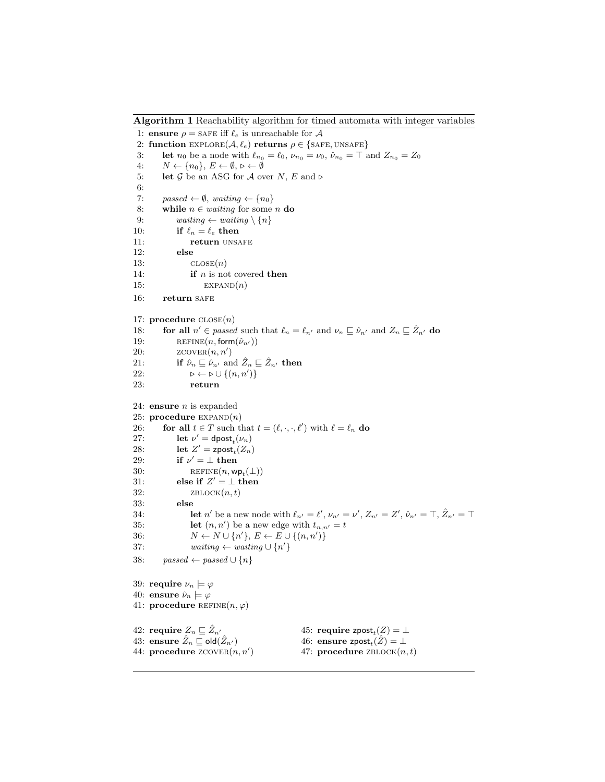Algorithm 1 Reachability algorithm for timed automata with integer variables

<span id="page-8-0"></span>1: ensure  $\rho =$  SAFE iff  $\ell_e$  is unreachable for A 2: function  $\text{EXPLORE}(\mathcal{A}, \ell_e)$  returns  $\rho \in \{\text{SAFE}, \text{UNSAFE}\}\$ 3: **let**  $n_0$  be a node with  $\ell_{n_0} = \ell_0$ ,  $\nu_{n_0} = \nu_0$ ,  $\hat{\nu}_{n_0} = \top$  and  $Z_{n_0} = Z_0$ 4:  $N \leftarrow \{n_0\}, E \leftarrow \emptyset, \triangleright \leftarrow \emptyset$ 5: let G be an ASG for A over N, E and  $\triangleright$ 6: 7: passed  $\leftarrow \emptyset$ , waiting  $\leftarrow \{n_0\}$ 8: while  $n \in waiting$  for some n do 9: waiting  $\leftarrow$  waiting  $\setminus \{n\}$ 10: if  $\ell_n = \ell_e$  then 11: **return** UNSAFE 12: else 13:  $CLOSE(n)$ 14: **if**  $n$  is not covered **then** 15:  $EXPAND(n)$ 16: return SAFE 17: procedure  $\text{CLOSE}(n)$ 18: **for all**  $n' \in passed$  such that  $\ell_n = \ell_{n'}$  and  $\nu_n \sqsubseteq \hat{\nu}_{n'}$  and  $Z_n \sqsubseteq \hat{Z}_{n'}$  do 19: REFINE $(n, \text{form}(\hat{\nu}_{n'}))$ <br>20:  $Z$ COVER $(n, n')$ 20:  $Z$ COVER $(n, n')$ 21: **if**  $\hat{\nu}_n \sqsubseteq \hat{\nu}_{n'}$  and  $\hat{Z}_n \sqsubseteq \hat{Z}_{n'}$  then 22:  $\triangleright \leftarrow \triangleright \cup \{(n, n')\}$ 23: return 24: ensure  $n$  is expanded 25: procedure  $EXPAND(n)$ 26: **for all**  $t \in T$  such that  $t = (\ell, \cdot, \cdot, \ell')$  with  $\ell = \ell_n$  do 27: let  $\nu' = \text{dpost}_t(\nu_n)$ 28: let  $Z' = \text{zpost}_t(Z_n)$ 29: if  $\nu' = \perp$  then 30: REFINE $(n, \mathsf{wp}_t(\perp))$ 31: else if  $Z' = \perp$  then 32:  $ZBLOCK(n, t)$ 33: else 34: **let** n' be a new node with  $\ell_{n'} = \ell'$ ,  $\nu_{n'} = \nu'$ ,  $Z_{n'} = Z'$ ,  $\hat{\nu}_{n'} = \top$ ,  $\hat{Z}_{n'} = \top$ 35: **let**  $(n, n')$  be a new edge with  $t_{n,n'} = t$ 36:  $N \leftarrow N \cup \{n'\}, E \leftarrow E \cup \{(n, n')\}$ 37: waiting  $\leftarrow$  waiting  $\cup \{n'\}$ 38: passed ← passed  $\cup \{n\}$ 39: require  $\nu_n \models \varphi$ 40: ensure  $\hat{\nu}_n \models \varphi$ 41: procedure REFINE $(n, \varphi)$ 42: require  $Z_n \sqsubseteq \hat{Z}_{n'}$ 43: ensure  $\hat{Z}_n \sqsubseteq$  old $(\hat{Z}_{n'})$ 44: procedure  $Z$ COVER $(n, n')$ 45: require zpost $_{t}(Z)=\bot$ 46: ensure zpost<sub>t</sub> $(\hat{Z}) = \bot$ 47: procedure  $ZBLOCK(n, t)$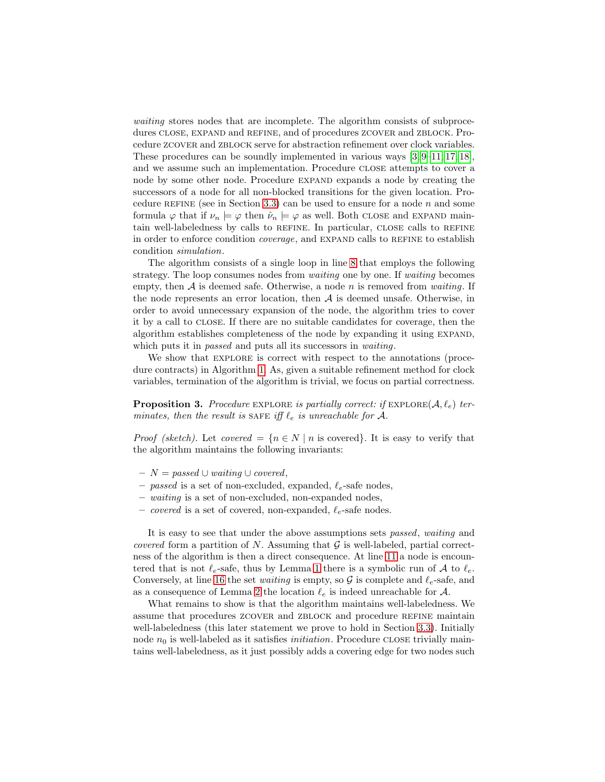waiting stores nodes that are incomplete. The algorithm consists of subprocedures CLOSE, EXPAND and REFINE, and of procedures ZCOVER and ZBLOCK. Procedure zcover and zblock serve for abstraction refinement over clock variables. These procedures can be soundly implemented in various ways [\[3,](#page-16-1) [9–](#page-16-3)[11,](#page-16-4) [17,](#page-16-5) [18\]](#page-16-6), and we assume such an implementation. Procedure close attempts to cover a node by some other node. Procedure EXPAND expands a node by creating the successors of a node for all non-blocked transitions for the given location. Pro-cedure REFINE (see in Section [3.3\)](#page-10-0) can be used to ensure for a node  $n$  and some formula  $\varphi$  that if  $\nu_n \models \varphi$  then  $\hat{\nu}_n \models \varphi$  as well. Both CLOSE and EXPAND maintain well-labeledness by calls to REFINE. In particular, CLOSE calls to REFINE in order to enforce condition *coverage*, and EXPAND calls to REFINE to establish condition simulation.

The algorithm consists of a single loop in line [8](#page-8-0) that employs the following strategy. The loop consumes nodes from *waiting* one by one. If *waiting* becomes empty, then  $A$  is deemed safe. Otherwise, a node n is removed from waiting. If the node represents an error location, then  $A$  is deemed unsafe. Otherwise, in order to avoid unnecessary expansion of the node, the algorithm tries to cover it by a call to close. If there are no suitable candidates for coverage, then the algorithm establishes completeness of the node by expanding it using expand, which puts it in *passed* and puts all its successors in *waiting*.

We show that EXPLORE is correct with respect to the annotations (procedure contracts) in Algorithm [1.](#page-8-0) As, given a suitable refinement method for clock variables, termination of the algorithm is trivial, we focus on partial correctness.

**Proposition 3.** Procedure EXPLORE is partially correct: if  $EXPLORE(A, \ell_e)$  terminates, then the result is SAFE iff  $\ell_e$  is unreachable for A.

*Proof (sketch)*. Let *covered* =  $\{n \in N \mid n \text{ is covered}\}\.$  It is easy to verify that the algorithm maintains the following invariants:

- $N = passed ∪ waiting ∪ covered,$
- passed is a set of non-excluded, expanded,  $\ell_e$ -safe nodes,
- waiting is a set of non-excluded, non-expanded nodes,
- covered is a set of covered, non-expanded,  $\ell_e$ -safe nodes.

It is easy to see that under the above assumptions sets passed, waiting and *covered* form a partition of N. Assuming that  $\mathcal G$  is well-labeled, partial correctness of the algorithm is then a direct consequence. At line [11](#page-8-0) a node is encountered that is not  $\ell_e$ -safe, thus by Lemma [1](#page-7-0) there is a symbolic run of A to  $\ell_e$ . Conversely, at line [16](#page-8-0) the set *waiting* is empty, so  $\mathcal G$  is complete and  $\ell_e$ -safe, and as a consequence of Lemma [2](#page-7-1) the location  $\ell_e$  is indeed unreachable for A.

What remains to show is that the algorithm maintains well-labeledness. We assume that procedures ZCOVER and ZBLOCK and procedure REFINE maintain well-labeledness (this later statement we prove to hold in Section [3.3\)](#page-10-0). Initially node  $n_0$  is well-labeled as it satisfies *initiation*. Procedure CLOSE trivially maintains well-labeledness, as it just possibly adds a covering edge for two nodes such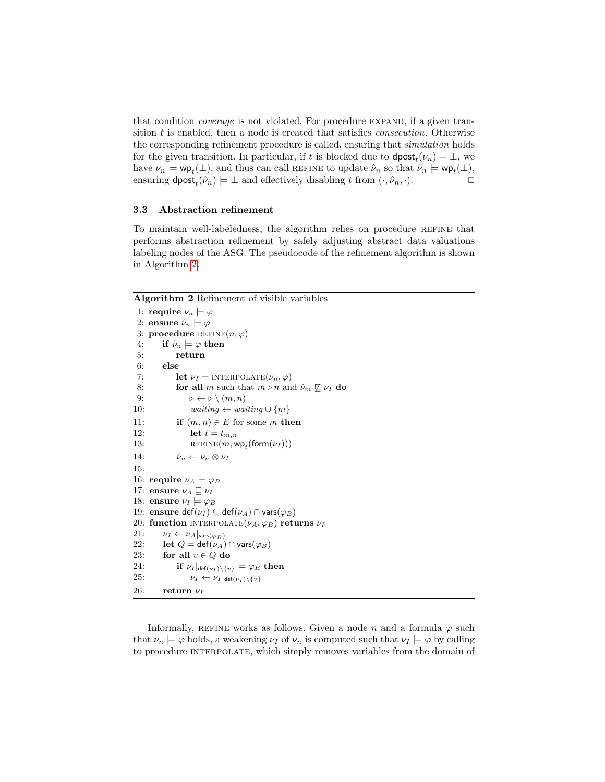that condition *coverage* is not violated. For procedure EXPAND, if a given transition  $t$  is enabled, then a node is created that satisfies *consecution*. Otherwise the corresponding refinement procedure is called, ensuring that simulation holds for the given transition. In particular, if t is blocked due to  $\text{dpost}_t(\nu_n) = \bot$ , we have  $\nu_n \models \textsf{wp}_t(\bot)$ , and thus can call REFINE to update  $\hat{\nu}_n$  so that  $\hat{\nu}_n \models \textsf{wp}_t(\bot)$ , ensuring  $\mathsf{dpost}_t(\hat{\nu}_n) \models \bot$  and effectively disabling t from  $(\cdot, \hat{\nu}_n, \cdot)$ .

### <span id="page-10-0"></span>3.3 Abstraction refinement

To maintain well-labeledness, the algorithm relies on procedure refine that performs abstraction refinement by safely adjusting abstract data valuations labeling nodes of the ASG. The pseudocode of the refinement algorithm is shown in Algorithm [2.](#page-10-1)

Algorithm 2 Refinement of visible variables

```
1: require \nu_n \models \varphi2: ensure \hat{\nu}_n \models \varphi3: procedure REFINE(n, \varphi)4: if \hat{\nu}_n \models \varphi then
 5: return
 6: else
 7: let \nu_I = \text{INTERPOLATE}(\nu_n, \varphi)8: for all m such that m \triangleright n and \hat{\nu}_m \not\sqsubseteq \nu_I do
 9: \triangleright \leftarrow \triangleright \setminus (m, n)10: waiting ← waiting \cup \{m\}11: if (m, n) \in E for some m then
12: let t = t_{m,n}13: REFINE(m, \mathsf{wp}_t(\mathsf{form}(\nu_I)))14: \hat{\nu}_n \leftarrow \hat{\nu}_n \otimes \nu_I15:
16: require \nu_A \models \varphi_B17: ensure \nu_A \sqsubseteq \nu_I18: ensure \nu_I \models \varphi_B19: ensure def(\nu_I) \subseteq def(\nu_A) \cap vars(\varphi_B)
20: function INTERPOLATE(\nu_A, \varphi_B) returns \nu_I21: \nu_I \leftarrow \nu_A|_{\text{vars}(\varphi_B)}<br>22: \text{let } Q = \text{def}(\nu_A)let Q = \text{def}(\nu_A) \cap \text{vars}(\varphi_B)23: for all v \in Q do
24: if \nu_I|_{\text{def}(\nu_I) \setminus \{v\}} \models \varphi_B then<br>25: \nu_I \leftarrow \nu_I|_{\text{def}(\nu_I) \setminus \{v\}}\nu_I \leftarrow \nu_I \vert_{\mathsf{def}(\nu_I) \setminus \{v\}}26: return \nu_I
```
Informally, REFINE works as follows. Given a node n and a formula  $\varphi$  such that  $\nu_n \models \varphi$  holds, a weakening  $\nu_I$  of  $\nu_n$  is computed such that  $\nu_I \models \varphi$  by calling to procedure INTERPOLATE, which simply removes variables from the domain of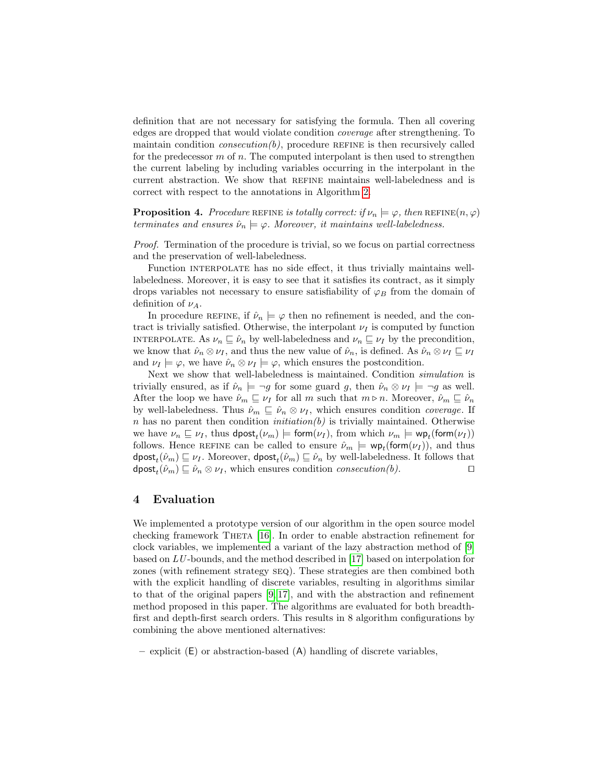definition that are not necessary for satisfying the formula. Then all covering edges are dropped that would violate condition coverage after strengthening. To maintain condition *consecution(b)*, procedure REFINE is then recursively called for the predecessor  $m$  of  $n$ . The computed interpolant is then used to strengthen the current labeling by including variables occurring in the interpolant in the current abstraction. We show that refine maintains well-labeledness and is correct with respect to the annotations in Algorithm [2.](#page-10-1)

**Proposition 4.** Procedure REFINE is totally correct: if  $\nu_n \models \varphi$ , then REFINE $(n, \varphi)$ terminates and ensures  $\hat{\nu}_n \models \varphi$ . Moreover, it maintains well-labeledness.

Proof. Termination of the procedure is trivial, so we focus on partial correctness and the preservation of well-labeledness.

Function interpolate has no side effect, it thus trivially maintains welllabeledness. Moreover, it is easy to see that it satisfies its contract, as it simply drops variables not necessary to ensure satisfiability of  $\varphi_B$  from the domain of definition of  $\nu_A$ .

In procedure REFINE, if  $\hat{\nu}_n \models \varphi$  then no refinement is needed, and the contract is trivially satisfied. Otherwise, the interpolant  $\nu_I$  is computed by function INTERPOLATE. As  $\nu_n \sqsubseteq \hat{\nu}_n$  by well-labeledness and  $\nu_n \sqsubseteq \nu_I$  by the precondition, we know that  $\hat{\nu}_n \otimes \nu_I$ , and thus the new value of  $\hat{\nu}_n$ , is defined. As  $\hat{\nu}_n \otimes \nu_I \sqsubseteq \nu_I$ and  $\nu_I \models \varphi$ , we have  $\hat{\nu}_n \otimes \nu_I \models \varphi$ , which ensures the postcondition.

Next we show that well-labeledness is maintained. Condition simulation is trivially ensured, as if  $\hat{\nu}_n \models \neg g$  for some guard g, then  $\hat{\nu}_n \otimes \nu_I \models \neg g$  as well. After the loop we have  $\hat{\nu}_m \subseteq \nu_I$  for all m such that  $m \triangleright n$ . Moreover,  $\hat{\nu}_m \subseteq \hat{\nu}_n$ by well-labeledness. Thus  $\hat{\nu}_m \subseteq \hat{\nu}_n \otimes \nu_I$ , which ensures condition *coverage*. If n has no parent then condition *initiation(b)* is trivially maintained. Otherwise we have  $\nu_n \sqsubseteq \nu_I$ , thus  $\textsf{dpost}_t(\nu_m) \models \textsf{form}(\nu_I)$ , from which  $\nu_m \models \textsf{wp}_t(\textsf{form}(\nu_I))$ follows. Hence REFINE can be called to ensure  $\hat{\nu}_m \models \textsf{wp}_t(\textsf{form}(\nu_I)),$  and thus  $\mathsf{dpost}_t(\hat{\nu}_m) \sqsubseteq \nu_I$ . Moreover,  $\mathsf{dpost}_t(\hat{\nu}_m) \sqsubseteq \hat{\nu}_n$  by well-labeledness. It follows that  $\textsf{dpost}_t(\hat{\nu}_m) \sqsubseteq \hat{\nu}_n \otimes \nu_I$ , which ensures condition *consecution*(*b*).

### <span id="page-11-0"></span>4 Evaluation

We implemented a prototype version of our algorithm in the open source model checking framework THETA [\[16\]](#page-16-15). In order to enable abstraction refinement for clock variables, we implemented a variant of the lazy abstraction method of [\[9\]](#page-16-3) based on LU -bounds, and the method described in [\[17\]](#page-16-5) based on interpolation for zones (with refinement strategy seq). These strategies are then combined both with the explicit handling of discrete variables, resulting in algorithms similar to that of the original papers [\[9,](#page-16-3) [17\]](#page-16-5), and with the abstraction and refinement method proposed in this paper. The algorithms are evaluated for both breadthfirst and depth-first search orders. This results in 8 algorithm configurations by combining the above mentioned alternatives:

– explicit (E) or abstraction-based (A) handling of discrete variables,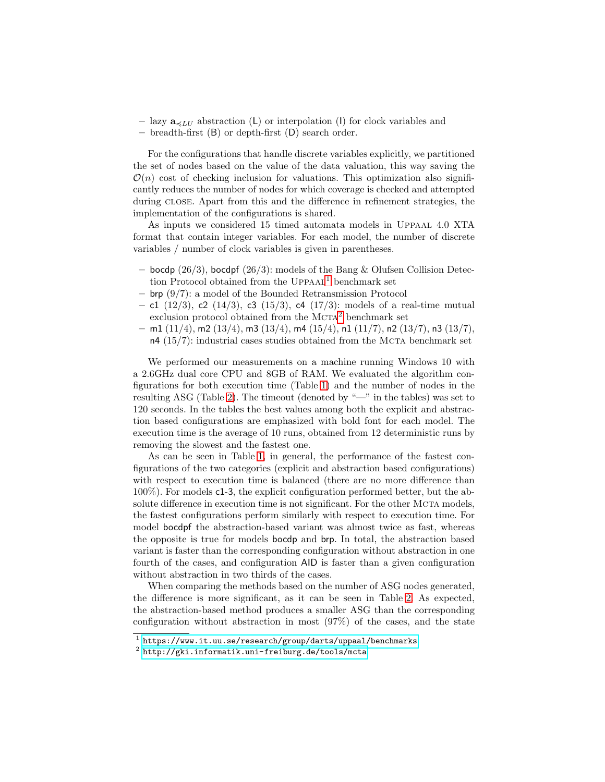- lazy  $\mathbf{a}_{\leq L,U}$  abstraction (L) or interpolation (I) for clock variables and
- breadth-first (B) or depth-first (D) search order.

For the configurations that handle discrete variables explicitly, we partitioned the set of nodes based on the value of the data valuation, this way saving the  $\mathcal{O}(n)$  cost of checking inclusion for valuations. This optimization also significantly reduces the number of nodes for which coverage is checked and attempted during close. Apart from this and the difference in refinement strategies, the implementation of the configurations is shared.

As inputs we considered 15 timed automata models in Uppaal 4.0 XTA format that contain integer variables. For each model, the number of discrete variables / number of clock variables is given in parentheses.

- bocdp  $(26/3)$ , bocdpf  $(26/3)$ : models of the Bang & Olufsen Collision Detec-tion Protocol obtained from the UPPAAL<sup>[1](#page-12-0)</sup> benchmark set
- brp (9/7): a model of the Bounded Retransmission Protocol
- c1 (12/3), c2 (14/3), c3 (15/3), c4 (17/3): models of a real-time mutual exclusion protocol obtained from the MCTA<sup>[2](#page-12-1)</sup> benchmark set
- $-$  m1 (11/4), m2 (13/4), m3 (13/4), m4 (15/4), n1 (11/7), n2 (13/7), n3 (13/7),  $n4$  (15/7): industrial cases studies obtained from the MCTA benchmark set

We performed our measurements on a machine running Windows 10 with a 2.6GHz dual core CPU and 8GB of RAM. We evaluated the algorithm configurations for both execution time (Table [1\)](#page-13-0) and the number of nodes in the resulting ASG (Table [2\)](#page-13-1). The timeout (denoted by "—" in the tables) was set to 120 seconds. In the tables the best values among both the explicit and abstraction based configurations are emphasized with bold font for each model. The execution time is the average of 10 runs, obtained from 12 deterministic runs by removing the slowest and the fastest one.

As can be seen in Table [1,](#page-13-0) in general, the performance of the fastest configurations of the two categories (explicit and abstraction based configurations) with respect to execution time is balanced (there are no more difference than 100%). For models c1-3, the explicit configuration performed better, but the absolute difference in execution time is not significant. For the other MCTA models, the fastest configurations perform similarly with respect to execution time. For model bocdpf the abstraction-based variant was almost twice as fast, whereas the opposite is true for models bocdp and brp. In total, the abstraction based variant is faster than the corresponding configuration without abstraction in one fourth of the cases, and configuration AID is faster than a given configuration without abstraction in two thirds of the cases.

When comparing the methods based on the number of ASG nodes generated, the difference is more significant, as it can be seen in Table [2.](#page-13-1) As expected, the abstraction-based method produces a smaller ASG than the corresponding configuration without abstraction in most (97%) of the cases, and the state

<span id="page-12-0"></span> $^{\rm 1}$  <https://www.it.uu.se/research/group/darts/uppaal/benchmarks>

<span id="page-12-1"></span> $^2$  <http://gki.informatik.uni-freiburg.de/tools/mcta>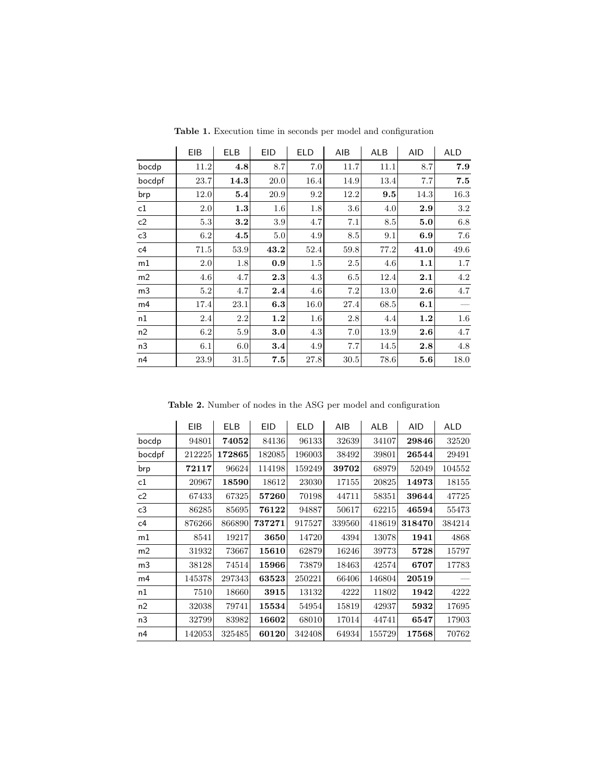<span id="page-13-0"></span>

|                | <b>EIB</b> | <b>ELB</b> | <b>EID</b> | <b>ELD</b> | AIB  | <b>ALB</b> | <b>AID</b> | <b>ALD</b> |
|----------------|------------|------------|------------|------------|------|------------|------------|------------|
| bocdp          | 11.2       | 4.8        | 8.7        | 7.0        | 11.7 | 11.1       | 8.7        | 7.9        |
| bocdpf         | 23.7       | 14.3       | 20.0       | 16.4       | 14.9 | 13.4       | 7.7        | 7.5        |
| brp            | 12.0       | 5.4        | 20.9       | 9.2        | 12.2 | 9.5        | 14.3       | 16.3       |
| $\mathtt{c1}$  | 2.0        | 1.3        | $1.6\,$    | 1.8        | 3.6  | 4.0        | 2.9        | 3.2        |
| $\mathsf{c}2$  | 5.3        | 3.2        | 3.9        | 4.7        | 7.1  | 8.5        | 5.0        | 6.8        |
| ${\sf c}3$     | $6.2\,$    | 4.5        | 5.0        | 4.9        | 8.5  | 9.1        | 6.9        | 7.6        |
| $\mathsf{c}4$  | 71.5       | 53.9       | 43.2       | 52.4       | 59.8 | 77.2       | 41.0       | 49.6       |
| $\mathsf{m}1$  | 2.0        | 1.8        | 0.9        | 1.5        | 2.5  | 4.6        | 1.1        | $1.7\,$    |
| m2             | 4.6        | 4.7        | 2.3        | 4.3        | 6.5  | 12.4       | 2.1        | 4.2        |
| m <sub>3</sub> | 5.2        | 4.7        | 2.4        | 4.6        | 7.2  | 13.0       | 2.6        | $4.7\,$    |
| m4             | 17.4       | 23.1       | 6.3        | 16.0       | 27.4 | 68.5       | 6.1        |            |
| $^{\rm n1}$    | 2.4        | 2.2        | 1.2        | 1.6        | 2.8  | 4.4        | 1.2        | $1.6\,$    |
| n2             | 6.2        | 5.9        | 3.0        | 4.3        | 7.0  | 13.9       | $2.6\,$    | 4.7        |
| n3             | 6.1        | 6.0        | 3.4        | 4.9        | 7.7  | 14.5       | 2.8        | 4.8        |
| n4             | 23.9       | 31.5       | 7.5        | 27.8       | 30.5 | 78.6       | 5.6        | 18.0       |

Table 1. Execution time in seconds per model and configuration

Table 2. Number of nodes in the ASG per model and configuration

<span id="page-13-1"></span>

|                | EIB    | <b>ELB</b> | <b>EID</b> | <b>ELD</b> | AIB    | <b>ALB</b> | AID    | <b>ALD</b> |
|----------------|--------|------------|------------|------------|--------|------------|--------|------------|
| bocdp          | 94801  | 74052      | 84136      | 96133      | 32639  | 34107      | 29846  | 32520      |
| bocdpf         | 212225 | 172865     | 182085     | 196003     | 38492  | 39801      | 26544  | 29491      |
| brp            | 72117  | 96624      | 114198     | 159249     | 39702  | 68979      | 52049  | 104552     |
| c1             | 20967  | 18590      | 18612      | 23030      | 17155  | 20825      | 14973  | 18155      |
| c <sub>2</sub> | 67433  | 67325      | 57260      | 70198      | 44711  | 58351      | 39644  | 47725      |
| c3             | 86285  | 85695      | 76122      | 94887      | 50617  | 62215      | 46594  | 55473      |
| c4             | 876266 | 866890     | 737271     | 917527     | 339560 | 418619     | 318470 | 384214     |
| m1             | 8541   | 19217      | 3650       | 14720      | 4394   | 13078      | 1941   | 4868       |
| m <sub>2</sub> | 31932  | 73667      | 15610      | 62879      | 16246  | 39773      | 5728   | 15797      |
| m <sub>3</sub> | 38128  | 74514      | 15966      | 73879      | 18463  | 42574      | 6707   | 17783      |
| m <sub>4</sub> | 145378 | 297343     | 63523      | 250221     | 66406  | 146804     | 20519  |            |
| n1             | 7510   | 18660      | 3915       | 13132      | 4222   | 11802      | 1942   | 4222       |
| n <sub>2</sub> | 32038  | 79741      | 15534      | 54954      | 15819  | 42937      | 5932   | 17695      |
| n <sub>3</sub> | 32799  | 83982      | 16602      | 68010      | 17014  | 44741      | 6547   | 17903      |
| n4             | 142053 | 325485     | 60120      | 342408     | 64934  | 155729     | 17568  | 70762      |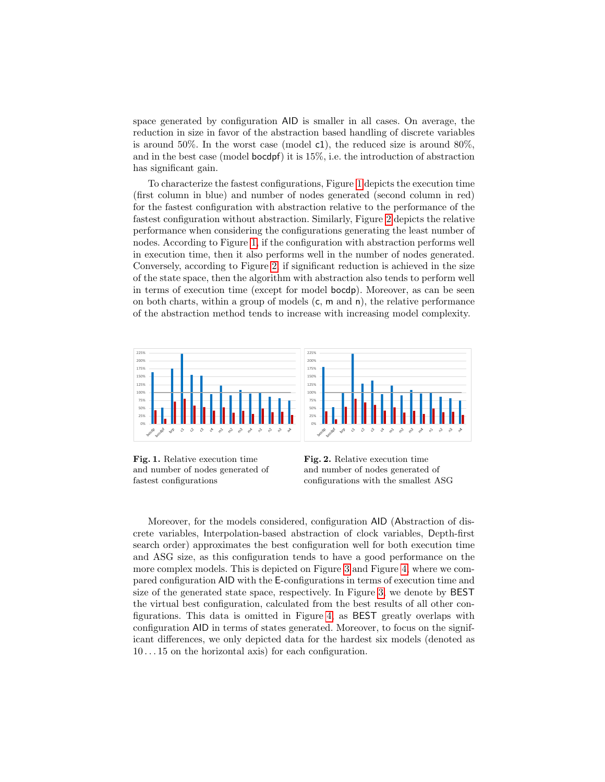space generated by configuration AID is smaller in all cases. On average, the reduction in size in favor of the abstraction based handling of discrete variables is around 50%. In the worst case (model c1), the reduced size is around 80%, and in the best case (model bocdpf) it is 15%, i.e. the introduction of abstraction has significant gain.

To characterize the fastest configurations, Figure [1](#page-14-0) depicts the execution time (first column in blue) and number of nodes generated (second column in red) for the fastest configuration with abstraction relative to the performance of the fastest configuration without abstraction. Similarly, Figure [2](#page-14-1) depicts the relative performance when considering the configurations generating the least number of nodes. According to Figure [1,](#page-14-0) if the configuration with abstraction performs well in execution time, then it also performs well in the number of nodes generated. Conversely, according to Figure [2,](#page-14-1) if significant reduction is achieved in the size of the state space, then the algorithm with abstraction also tends to perform well in terms of execution time (except for model bocdp). Moreover, as can be seen on both charts, within a group of models  $(c, m \text{ and } n)$ , the relative performance of the abstraction method tends to increase with increasing model complexity.



Fig. 1. Relative execution time and number of nodes generated of fastest configurations

<span id="page-14-1"></span><span id="page-14-0"></span>Fig. 2. Relative execution time and number of nodes generated of configurations with the smallest ASG

Moreover, for the models considered, configuration AID (Abstraction of discrete variables, Interpolation-based abstraction of clock variables, Depth-first search order) approximates the best configuration well for both execution time and ASG size, as this configuration tends to have a good performance on the more complex models. This is depicted on Figure [3](#page-15-3) and Figure [4,](#page-15-4) where we compared configuration AID with the E-configurations in terms of execution time and size of the generated state space, respectively. In Figure [3,](#page-15-3) we denote by BEST the virtual best configuration, calculated from the best results of all other configurations. This data is omitted in Figure [4,](#page-15-4) as BEST greatly overlaps with configuration AID in terms of states generated. Moreover, to focus on the significant differences, we only depicted data for the hardest six models (denoted as 10 . . . 15 on the horizontal axis) for each configuration.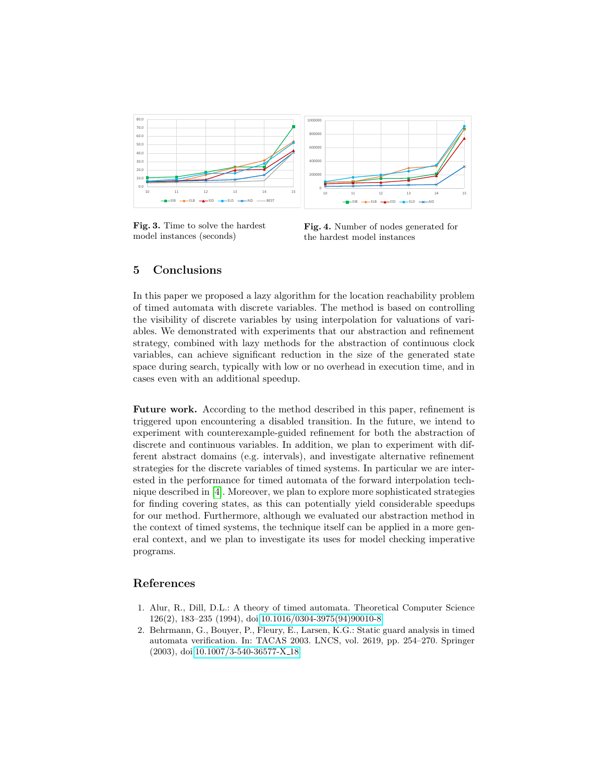

Fig. 3. Time to solve the hardest model instances (seconds)

<span id="page-15-4"></span><span id="page-15-3"></span>Fig. 4. Number of nodes generated for the hardest model instances

# <span id="page-15-2"></span>5 Conclusions

In this paper we proposed a lazy algorithm for the location reachability problem of timed automata with discrete variables. The method is based on controlling the visibility of discrete variables by using interpolation for valuations of variables. We demonstrated with experiments that our abstraction and refinement strategy, combined with lazy methods for the abstraction of continuous clock variables, can achieve significant reduction in the size of the generated state space during search, typically with low or no overhead in execution time, and in cases even with an additional speedup.

Future work. According to the method described in this paper, refinement is triggered upon encountering a disabled transition. In the future, we intend to experiment with counterexample-guided refinement for both the abstraction of discrete and continuous variables. In addition, we plan to experiment with different abstract domains (e.g. intervals), and investigate alternative refinement strategies for the discrete variables of timed systems. In particular we are interested in the performance for timed automata of the forward interpolation technique described in [\[4\]](#page-16-14). Moreover, we plan to explore more sophisticated strategies for finding covering states, as this can potentially yield considerable speedups for our method. Furthermore, although we evaluated our abstraction method in the context of timed systems, the technique itself can be applied in a more general context, and we plan to investigate its uses for model checking imperative programs.

## References

- <span id="page-15-0"></span>1. Alur, R., Dill, D.L.: A theory of timed automata. Theoretical Computer Science 126(2), 183–235 (1994), doi[:10.1016/0304-3975\(94\)90010-8](http://dx.doi.org/10.1016/0304-3975(94)90010-8)
- <span id="page-15-1"></span>2. Behrmann, G., Bouyer, P., Fleury, E., Larsen, K.G.: Static guard analysis in timed automata verification. In: TACAS 2003. LNCS, vol. 2619, pp. 254–270. Springer (2003), doi[:10.1007/3-540-36577-X](http://dx.doi.org/10.1007/3-540-36577-X_18) 18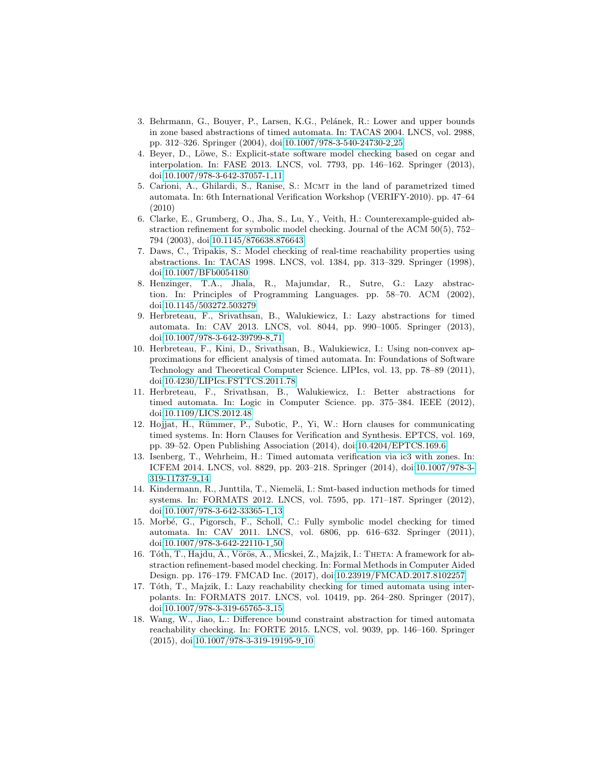- <span id="page-16-1"></span>3. Behrmann, G., Bouyer, P., Larsen, K.G., Pelánek, R.: Lower and upper bounds in zone based abstractions of timed automata. In: TACAS 2004. LNCS, vol. 2988, pp. 312–326. Springer (2004), doi[:10.1007/978-3-540-24730-2](http://dx.doi.org/10.1007/978-3-540-24730-2_25) 25
- <span id="page-16-14"></span>4. Beyer, D., Löwe, S.: Explicit-state software model checking based on cegar and interpolation. In: FASE 2013. LNCS, vol. 7793, pp. 146–162. Springer (2013), doi[:10.1007/978-3-642-37057-1](http://dx.doi.org/10.1007/978-3-642-37057-1_11) 11
- <span id="page-16-9"></span>5. Carioni, A., Ghilardi, S., Ranise, S.: MCMT in the land of parametrized timed automata. In: 6th International Verification Workshop (VERIFY-2010). pp. 47–64 (2010)
- <span id="page-16-8"></span>6. Clarke, E., Grumberg, O., Jha, S., Lu, Y., Veith, H.: Counterexample-guided abstraction refinement for symbolic model checking. Journal of the ACM 50(5), 752– 794 (2003), doi[:10.1145/876638.876643](http://dx.doi.org/10.1145/876638.876643)
- <span id="page-16-0"></span>7. Daws, C., Tripakis, S.: Model checking of real-time reachability properties using abstractions. In: TACAS 1998. LNCS, vol. 1384, pp. 313–329. Springer (1998), doi[:10.1007/BFb0054180](http://dx.doi.org/10.1007/BFb0054180)
- <span id="page-16-7"></span>8. Henzinger, T.A., Jhala, R., Majumdar, R., Sutre, G.: Lazy abstraction. In: Principles of Programming Languages. pp. 58–70. ACM (2002), doi[:10.1145/503272.503279](http://dx.doi.org/10.1145/503272.503279)
- <span id="page-16-3"></span>9. Herbreteau, F., Srivathsan, B., Walukiewicz, I.: Lazy abstractions for timed automata. In: CAV 2013. LNCS, vol. 8044, pp. 990–1005. Springer (2013), doi[:10.1007/978-3-642-39799-8](http://dx.doi.org/10.1007/978-3-642-39799-8_71) 71
- <span id="page-16-2"></span>10. Herbreteau, F., Kini, D., Srivathsan, B., Walukiewicz, I.: Using non-convex approximations for efficient analysis of timed automata. In: Foundations of Software Technology and Theoretical Computer Science. LIPIcs, vol. 13, pp. 78–89 (2011), doi[:10.4230/LIPIcs.FSTTCS.2011.78](http://dx.doi.org/10.4230/LIPIcs.FSTTCS.2011.78)
- <span id="page-16-4"></span>11. Herbreteau, F., Srivathsan, B., Walukiewicz, I.: Better abstractions for timed automata. In: Logic in Computer Science. pp. 375–384. IEEE (2012), doi[:10.1109/LICS.2012.48](http://dx.doi.org/10.1109/LICS.2012.48)
- <span id="page-16-11"></span>12. Hojjat, H., Rümmer, P., Subotic, P., Yi, W.: Horn clauses for communicating timed systems. In: Horn Clauses for Verification and Synthesis. EPTCS, vol. 169, pp. 39–52. Open Publishing Association (2014), doi[:10.4204/EPTCS.169.6](http://dx.doi.org/10.4204/EPTCS.169.6)
- <span id="page-16-13"></span>13. Isenberg, T., Wehrheim, H.: Timed automata verification via ic3 with zones. In: ICFEM 2014. LNCS, vol. 8829, pp. 203–218. Springer (2014), doi[:10.1007/978-3-](http://dx.doi.org/10.1007/978-3-319-11737-9_14) [319-11737-9](http://dx.doi.org/10.1007/978-3-319-11737-9_14) 14
- <span id="page-16-12"></span>14. Kindermann, R., Junttila, T., Niemelä, I.: Smt-based induction methods for timed systems. In: FORMATS 2012. LNCS, vol. 7595, pp. 171–187. Springer (2012), doi[:10.1007/978-3-642-33365-1](http://dx.doi.org/10.1007/978-3-642-33365-1_13) 13
- <span id="page-16-10"></span>15. Morbé, G., Pigorsch, F., Scholl, C.: Fully symbolic model checking for timed automata. In: CAV 2011. LNCS, vol. 6806, pp. 616–632. Springer (2011), doi[:10.1007/978-3-642-22110-1](http://dx.doi.org/10.1007/978-3-642-22110-1_50) 50
- <span id="page-16-15"></span>16. Tóth, T., Hajdu, Á., Vörös, A., Micskei, Z., Majzik, I.: THETA: A framework for abstraction refinement-based model checking. In: Formal Methods in Computer Aided Design. pp. 176–179. FMCAD Inc. (2017), doi[:10.23919/FMCAD.2017.8102257](http://dx.doi.org/10.23919/FMCAD.2017.8102257)
- <span id="page-16-5"></span>17. Tóth, T., Majzik, I.: Lazy reachability checking for timed automata using interpolants. In: FORMATS 2017. LNCS, vol. 10419, pp. 264–280. Springer (2017), doi[:10.1007/978-3-319-65765-3](http://dx.doi.org/10.1007/978-3-319-65765-3_15) 15
- <span id="page-16-6"></span>18. Wang, W., Jiao, L.: Difference bound constraint abstraction for timed automata reachability checking. In: FORTE 2015. LNCS, vol. 9039, pp. 146–160. Springer (2015), doi[:10.1007/978-3-319-19195-9](http://dx.doi.org/10.1007/978-3-319-19195-9_10) 10